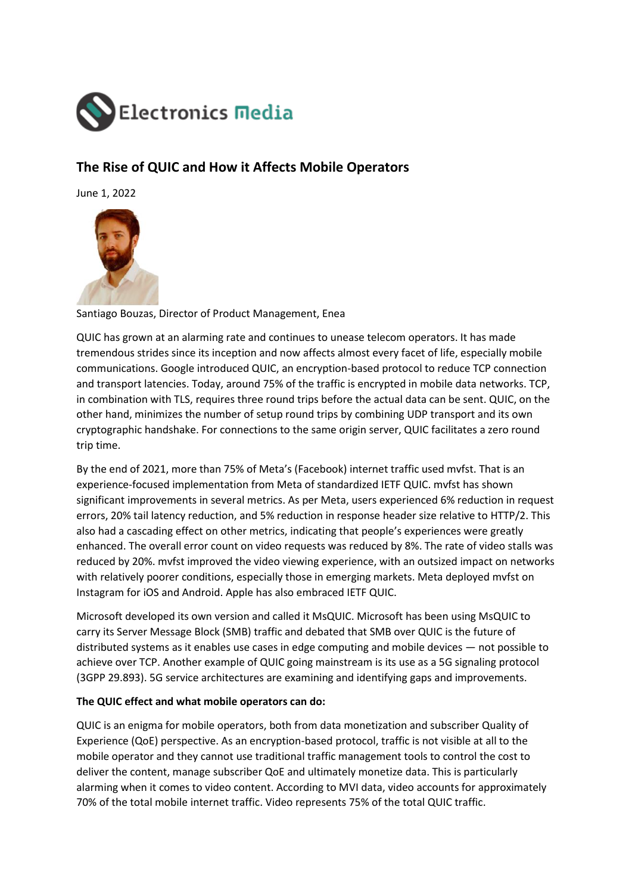

## **The Rise of QUIC and How it Affects Mobile Operators**

June 1, 2022



Santiago Bouzas, Director of Product Management, Enea

QUIC has grown at an alarming rate and continues to unease telecom operators. It has made tremendous strides since its inception and now affects almost every facet of life, especially mobile communications. Google introduced QUIC, an encryption-based protocol to reduce TCP connection and transport latencies. Today, around 75% of the traffic is encrypted in mobile data networks. TCP, in combination with TLS, requires three round trips before the actual data can be sent. QUIC, on the other hand, minimizes the number of setup round trips by combining UDP transport and its own cryptographic handshake. For connections to the same origin server, QUIC facilitates a zero round trip time.

By the end of 2021, more than 75% of Meta's (Facebook) internet traffic used mvfst. That is an experience-focused implementation from Meta of standardized IETF QUIC. mvfst has shown significant improvements in several metrics. As per Meta, users experienced 6% reduction in request errors, 20% tail latency reduction, and 5% reduction in response header size relative to HTTP/2. This also had a cascading effect on other metrics, indicating that people's experiences were greatly enhanced. The overall error count on video requests was reduced by 8%. The rate of video stalls was reduced by 20%. mvfst improved the video viewing experience, with an outsized impact on networks with relatively poorer conditions, especially those in emerging markets. Meta deployed mvfst on Instagram for iOS and Android. Apple has also embraced IETF QUIC.

Microsoft developed its own version and called it MsQUIC. Microsoft has been using MsQUIC to carry its Server Message Block (SMB) traffic and debated that SMB over QUIC is the future of distributed systems as it enables use cases in edge computing and mobile devices — not possible to achieve over TCP. Another example of QUIC going mainstream is its use as a 5G signaling protocol (3GPP 29.893). 5G service architectures are examining and identifying gaps and improvements.

## **The QUIC effect and what mobile operators can do:**

QUIC is an enigma for mobile operators, both from data monetization and subscriber Quality of Experience (QoE) perspective. As an encryption-based protocol, traffic is not visible at all to the mobile operator and they cannot use traditional traffic management tools to control the cost to deliver the content, manage subscriber QoE and ultimately monetize data. This is particularly alarming when it comes to video content. According to MVI data, video accounts for approximately 70% of the total mobile internet traffic. Video represents 75% of the total QUIC traffic.